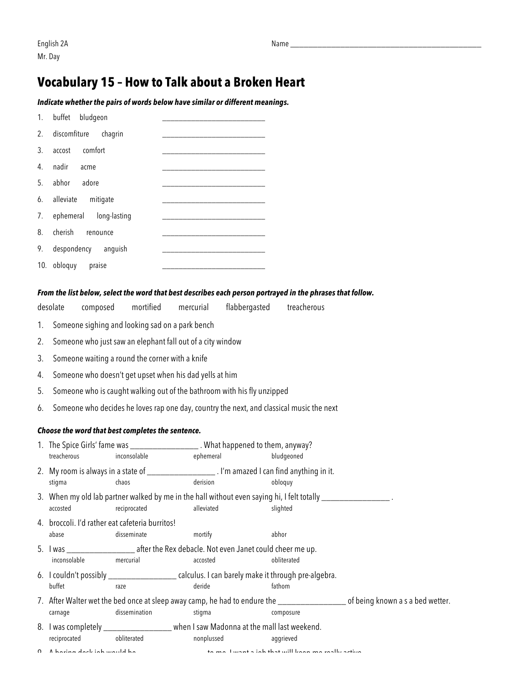## **Vocabulary 15 – How to Talk about a Broken Heart**

#### *Indicate whether the pairs of words below have similar or different meanings.*

|     | 1. buffet bludgeon     |  |
|-----|------------------------|--|
| 2.  | discomfiture chagrin   |  |
| 3.  | comfort<br>accost      |  |
| 4.  | nadir<br>acme          |  |
| 5.  | abhor<br>adore         |  |
| 6.  | alleviate<br>mitigate  |  |
| 7.  | ephemeral long-lasting |  |
| 8.  | cherish<br>renounce    |  |
| 9.  | despondency anguish    |  |
| 10. | obloguy<br>praise      |  |

### *From the list below, select the word that best describes each person portrayed in the phrases that follow.*

### desolate composed mortified mercurial flabbergasted treacherous

- 1. Someone sighing and looking sad on a park bench
- 2. Someone who just saw an elephant fall out of a city window
- 3. Someone waiting a round the corner with a knife
- 4. Someone who doesn't get upset when his dad yells at him
- 5. Someone who is caught walking out of the bathroom with his fly unzipped
- 6. Someone who decides he loves rap one day, country the next, and classical music the next

#### *Choose the word that best completes the sentence.*

- 1. The Spice Girls' fame was \_\_\_\_\_\_\_\_\_\_\_\_\_\_\_ . What happened to them, anyway? treacherous inconsolable ephemeral bludgeoned
- 2. My room is always in a state of \_\_\_\_\_\_\_\_\_\_\_\_\_\_\_ . I'm amazed I can find anything in it. stigma chaos derision obloquy
- 3. When my old lab partner walked by me in the hall without even saying hi, I felt totally  $\equiv$ accosted **accosted** reciprocated alleviated alleviated slighted
- 4. broccoli. I'd rather eat cafeteria burritos! abase disseminate mortify abhor
- 5. I was \_\_\_\_\_\_\_\_\_\_\_\_\_\_\_ after the Rex debacle. Not even Janet could cheer me up. inconsolable mercurial accosted accosted bliterated
- 6. I couldn't possibly \_\_\_\_\_\_\_\_\_\_\_\_\_\_\_ calculus. I can barely make it through pre-algebra. buffet raze raze deride fathom
- 7. After Walter wet the bed once at sleep away camp, he had to endure the \_\_\_\_\_\_\_\_\_\_\_\_\_\_\_\_\_\_\_\_\_\_\_\_\_\_ of being known a s a bed wetter. carnage dissemination stigma composure
- 8. I was completely \_\_\_\_\_\_\_\_\_\_\_\_\_\_\_\_\_\_ when I saw Madonna at the mall last weekend. reciprocated obliterated nonplussed aggrieved

| nonplussed | aq |
|------------|----|
|            |    |

9. A boring desk job would be \_\_\_\_\_\_\_\_\_\_\_\_\_\_\_ to me. I want a job that will keep me really active.